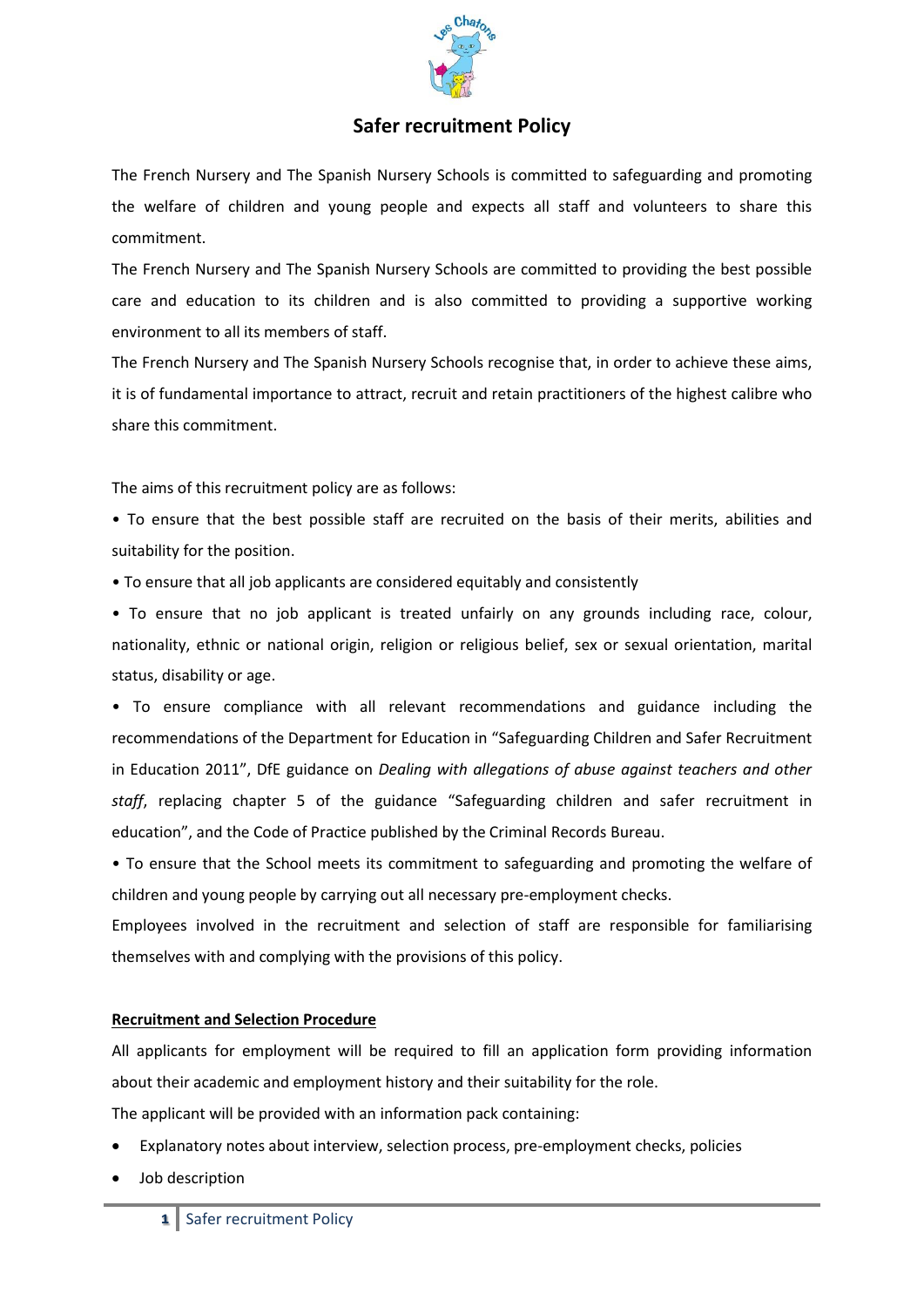

# **Safer recruitment Policy**

The French Nursery and The Spanish Nursery Schools is committed to safeguarding and promoting the welfare of children and young people and expects all staff and volunteers to share this commitment.

The French Nursery and The Spanish Nursery Schools are committed to providing the best possible care and education to its children and is also committed to providing a supportive working environment to all its members of staff.

The French Nursery and The Spanish Nursery Schools recognise that, in order to achieve these aims, it is of fundamental importance to attract, recruit and retain practitioners of the highest calibre who share this commitment.

The aims of this recruitment policy are as follows:

• To ensure that the best possible staff are recruited on the basis of their merits, abilities and suitability for the position.

• To ensure that all job applicants are considered equitably and consistently

• To ensure that no job applicant is treated unfairly on any grounds including race, colour, nationality, ethnic or national origin, religion or religious belief, sex or sexual orientation, marital status, disability or age.

• To ensure compliance with all relevant recommendations and guidance including the recommendations of the Department for Education in "Safeguarding Children and Safer Recruitment in Education 2011", DfE guidance on *Dealing with allegations of abuse against teachers and other staff*, replacing chapter 5 of the guidance "Safeguarding children and safer recruitment in education", and the Code of Practice published by the Criminal Records Bureau.

• To ensure that the School meets its commitment to safeguarding and promoting the welfare of children and young people by carrying out all necessary pre-employment checks.

Employees involved in the recruitment and selection of staff are responsible for familiarising themselves with and complying with the provisions of this policy.

### **Recruitment and Selection Procedure**

All applicants for employment will be required to fill an application form providing information about their academic and employment history and their suitability for the role.

The applicant will be provided with an information pack containing:

- Explanatory notes about interview, selection process, pre-employment checks, policies
- Job description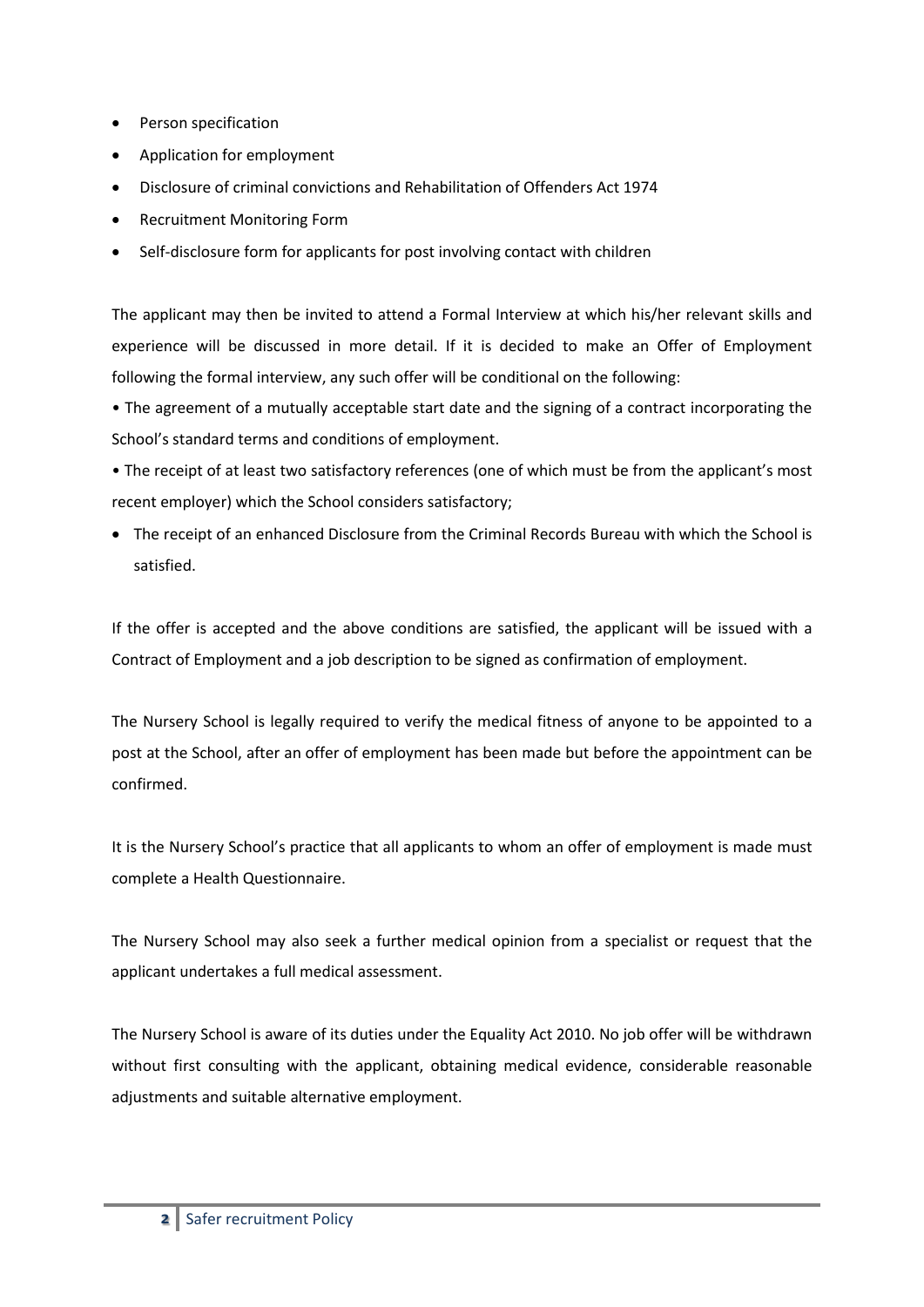- Person specification
- Application for employment
- Disclosure of criminal convictions and Rehabilitation of Offenders Act 1974
- Recruitment Monitoring Form
- Self-disclosure form for applicants for post involving contact with children

The applicant may then be invited to attend a Formal Interview at which his/her relevant skills and experience will be discussed in more detail. If it is decided to make an Offer of Employment following the formal interview, any such offer will be conditional on the following:

• The agreement of a mutually acceptable start date and the signing of a contract incorporating the School's standard terms and conditions of employment.

• The receipt of at least two satisfactory references (one of which must be from the applicant's most recent employer) which the School considers satisfactory;

 The receipt of an enhanced Disclosure from the Criminal Records Bureau with which the School is satisfied.

If the offer is accepted and the above conditions are satisfied, the applicant will be issued with a Contract of Employment and a job description to be signed as confirmation of employment.

The Nursery School is legally required to verify the medical fitness of anyone to be appointed to a post at the School, after an offer of employment has been made but before the appointment can be confirmed.

It is the Nursery School's practice that all applicants to whom an offer of employment is made must complete a Health Questionnaire.

The Nursery School may also seek a further medical opinion from a specialist or request that the applicant undertakes a full medical assessment.

The Nursery School is aware of its duties under the Equality Act 2010. No job offer will be withdrawn without first consulting with the applicant, obtaining medical evidence, considerable reasonable adjustments and suitable alternative employment.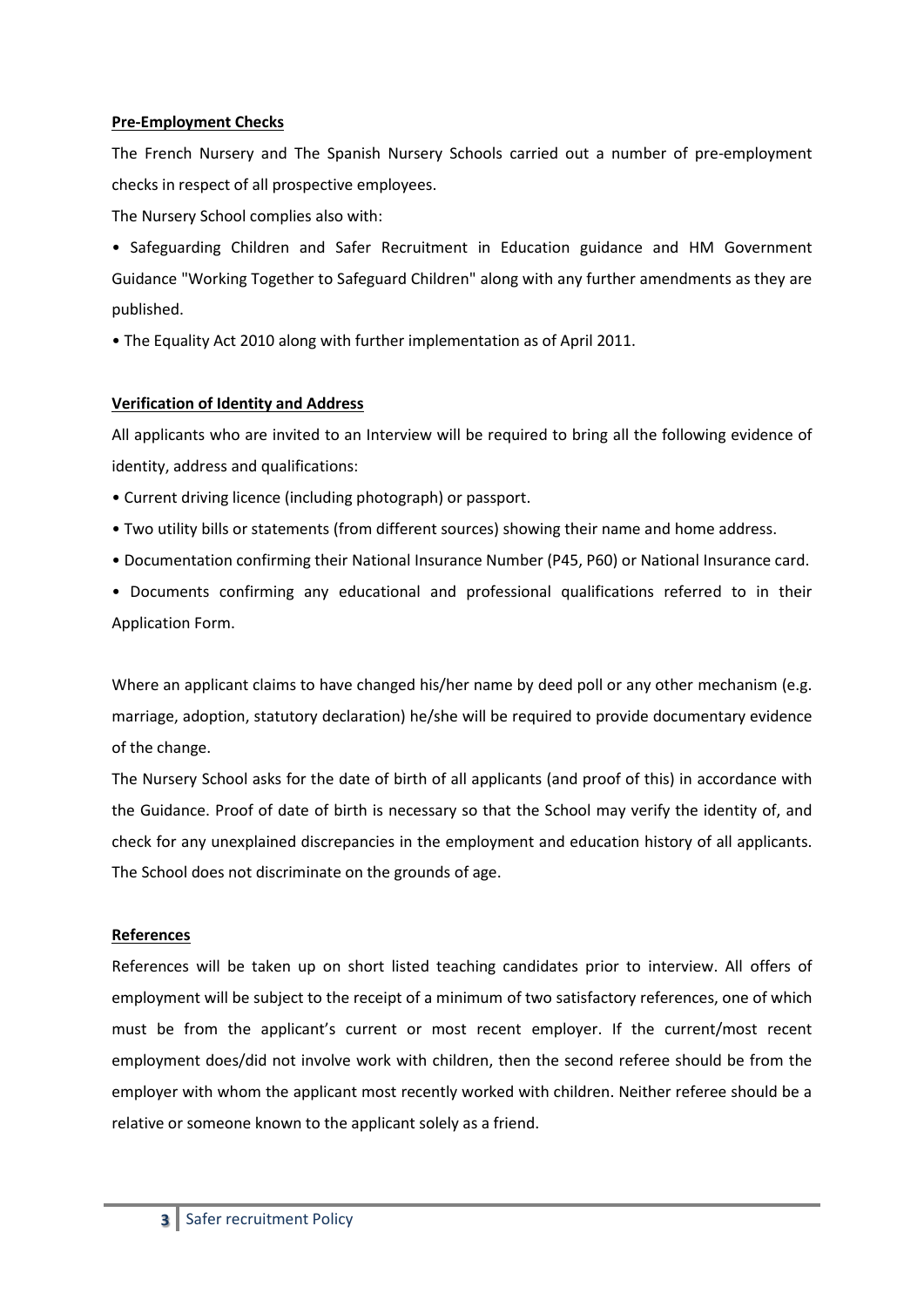#### **Pre-Employment Checks**

The French Nursery and The Spanish Nursery Schools carried out a number of pre-employment checks in respect of all prospective employees.

The Nursery School complies also with:

• Safeguarding Children and Safer Recruitment in Education guidance and HM Government Guidance "Working Together to Safeguard Children" along with any further amendments as they are published.

• The Equality Act 2010 along with further implementation as of April 2011.

## **Verification of Identity and Address**

All applicants who are invited to an Interview will be required to bring all the following evidence of identity, address and qualifications:

• Current driving licence (including photograph) or passport.

• Two utility bills or statements (from different sources) showing their name and home address.

• Documentation confirming their National Insurance Number (P45, P60) or National Insurance card.

• Documents confirming any educational and professional qualifications referred to in their Application Form.

Where an applicant claims to have changed his/her name by deed poll or any other mechanism (e.g. marriage, adoption, statutory declaration) he/she will be required to provide documentary evidence of the change.

The Nursery School asks for the date of birth of all applicants (and proof of this) in accordance with the Guidance. Proof of date of birth is necessary so that the School may verify the identity of, and check for any unexplained discrepancies in the employment and education history of all applicants. The School does not discriminate on the grounds of age.

## **References**

References will be taken up on short listed teaching candidates prior to interview. All offers of employment will be subject to the receipt of a minimum of two satisfactory references, one of which must be from the applicant's current or most recent employer. If the current/most recent employment does/did not involve work with children, then the second referee should be from the employer with whom the applicant most recently worked with children. Neither referee should be a relative or someone known to the applicant solely as a friend.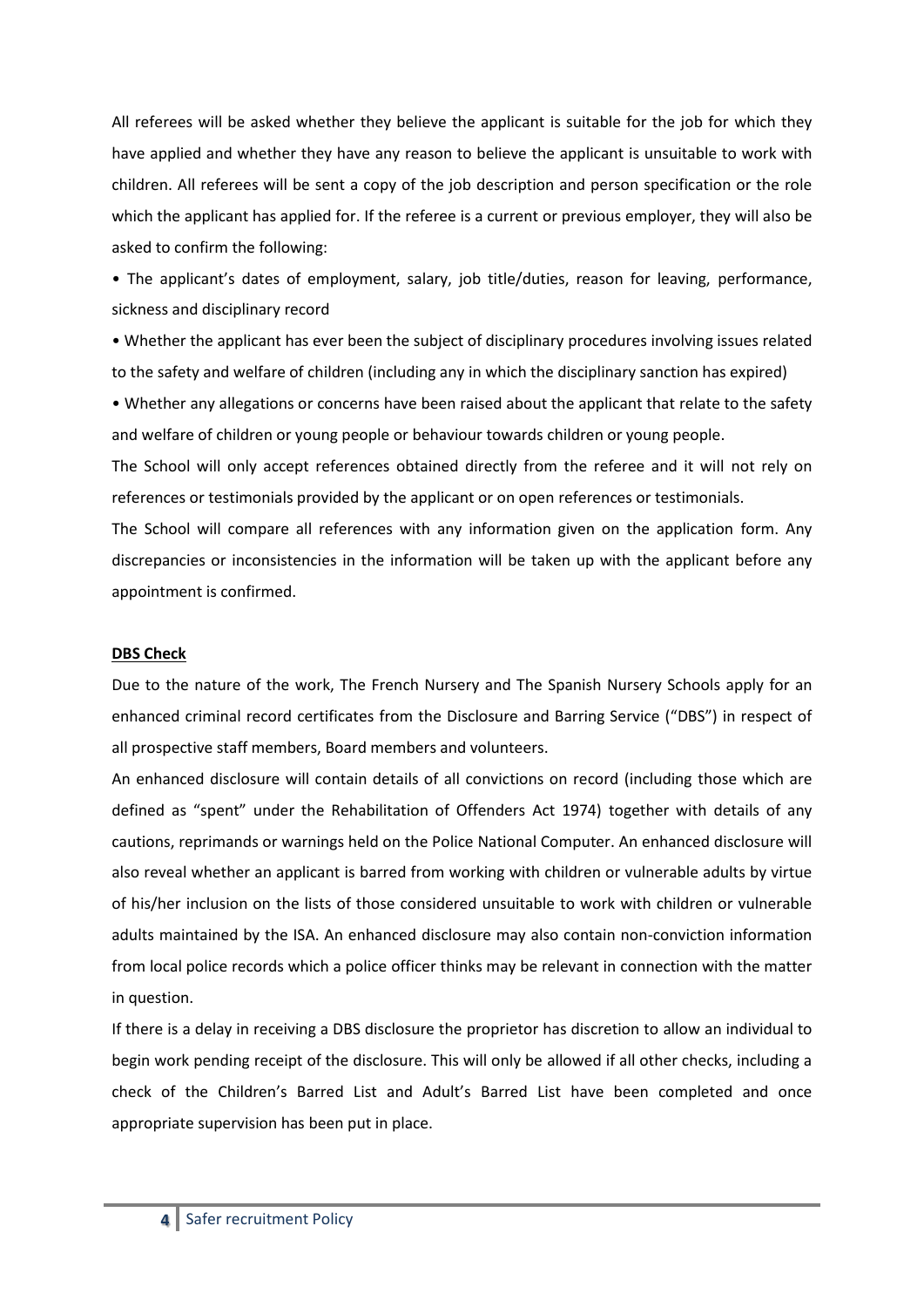All referees will be asked whether they believe the applicant is suitable for the job for which they have applied and whether they have any reason to believe the applicant is unsuitable to work with children. All referees will be sent a copy of the job description and person specification or the role which the applicant has applied for. If the referee is a current or previous employer, they will also be asked to confirm the following:

• The applicant's dates of employment, salary, job title/duties, reason for leaving, performance, sickness and disciplinary record

• Whether the applicant has ever been the subject of disciplinary procedures involving issues related to the safety and welfare of children (including any in which the disciplinary sanction has expired)

• Whether any allegations or concerns have been raised about the applicant that relate to the safety and welfare of children or young people or behaviour towards children or young people.

The School will only accept references obtained directly from the referee and it will not rely on references or testimonials provided by the applicant or on open references or testimonials.

The School will compare all references with any information given on the application form. Any discrepancies or inconsistencies in the information will be taken up with the applicant before any appointment is confirmed.

### **DBS Check**

Due to the nature of the work, The French Nursery and The Spanish Nursery Schools apply for an enhanced criminal record certificates from the Disclosure and Barring Service ("DBS") in respect of all prospective staff members, Board members and volunteers.

An enhanced disclosure will contain details of all convictions on record (including those which are defined as "spent" under the Rehabilitation of Offenders Act 1974) together with details of any cautions, reprimands or warnings held on the Police National Computer. An enhanced disclosure will also reveal whether an applicant is barred from working with children or vulnerable adults by virtue of his/her inclusion on the lists of those considered unsuitable to work with children or vulnerable adults maintained by the ISA. An enhanced disclosure may also contain non-conviction information from local police records which a police officer thinks may be relevant in connection with the matter in question.

If there is a delay in receiving a DBS disclosure the proprietor has discretion to allow an individual to begin work pending receipt of the disclosure. This will only be allowed if all other checks, including a check of the Children's Barred List and Adult's Barred List have been completed and once appropriate supervision has been put in place.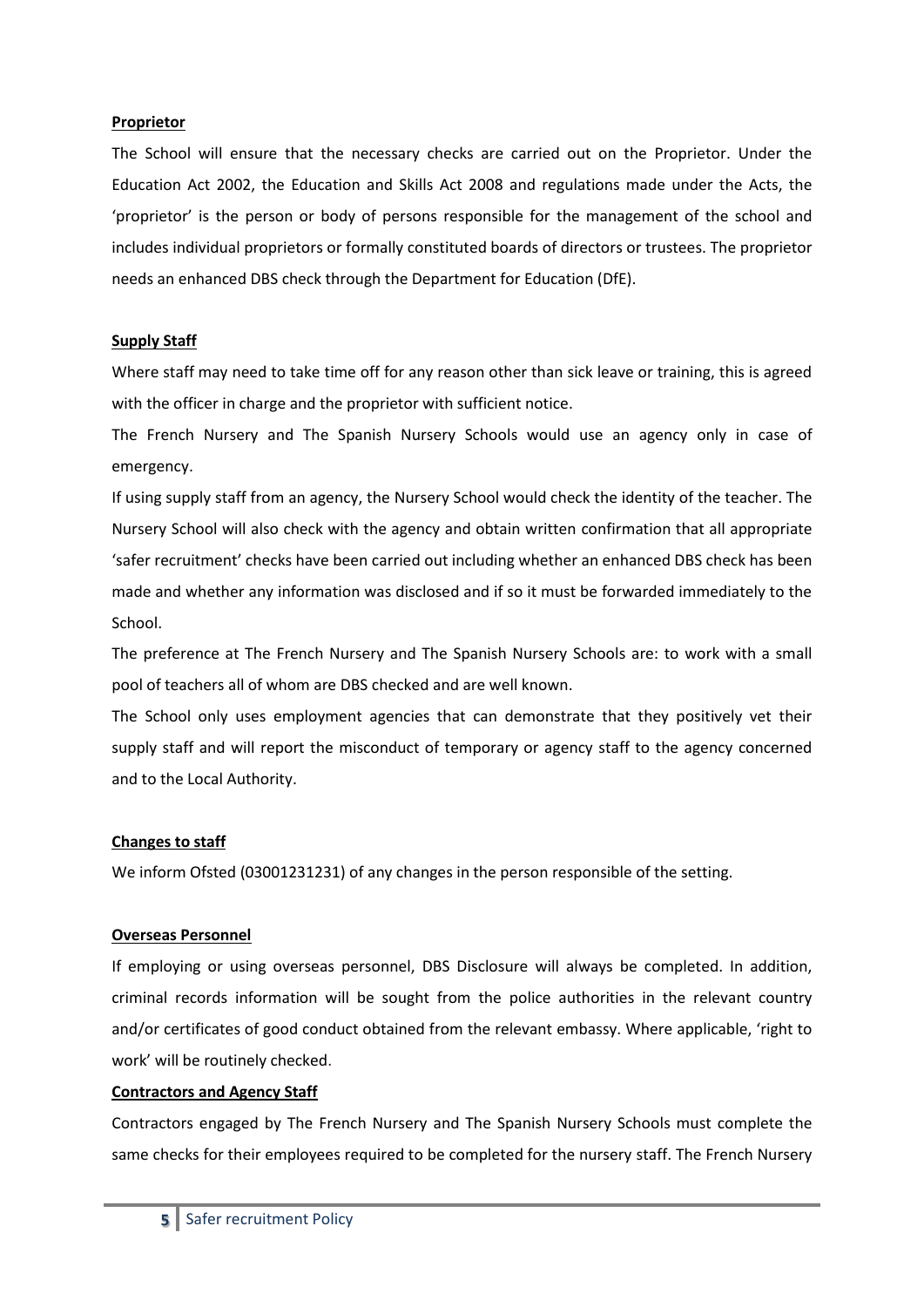#### **Proprietor**

The School will ensure that the necessary checks are carried out on the Proprietor. Under the Education Act 2002, the Education and Skills Act 2008 and regulations made under the Acts, the 'proprietor' is the person or body of persons responsible for the management of the school and includes individual proprietors or formally constituted boards of directors or trustees. The proprietor needs an enhanced DBS check through the Department for Education (DfE).

### **Supply Staff**

Where staff may need to take time off for any reason other than sick leave or training, this is agreed with the officer in charge and the proprietor with sufficient notice.

The French Nursery and The Spanish Nursery Schools would use an agency only in case of emergency.

If using supply staff from an agency, the Nursery School would check the identity of the teacher. The Nursery School will also check with the agency and obtain written confirmation that all appropriate 'safer recruitment' checks have been carried out including whether an enhanced DBS check has been made and whether any information was disclosed and if so it must be forwarded immediately to the School.

The preference at The French Nursery and The Spanish Nursery Schools are: to work with a small pool of teachers all of whom are DBS checked and are well known.

The School only uses employment agencies that can demonstrate that they positively vet their supply staff and will report the misconduct of temporary or agency staff to the agency concerned and to the Local Authority.

### **Changes to staff**

We inform Ofsted (03001231231) of any changes in the person responsible of the setting.

### **Overseas Personnel**

If employing or using overseas personnel, DBS Disclosure will always be completed. In addition, criminal records information will be sought from the police authorities in the relevant country and/or certificates of good conduct obtained from the relevant embassy. Where applicable, 'right to work' will be routinely checked.

#### **Contractors and Agency Staff**

Contractors engaged by The French Nursery and The Spanish Nursery Schools must complete the same checks for their employees required to be completed for the nursery staff. The French Nursery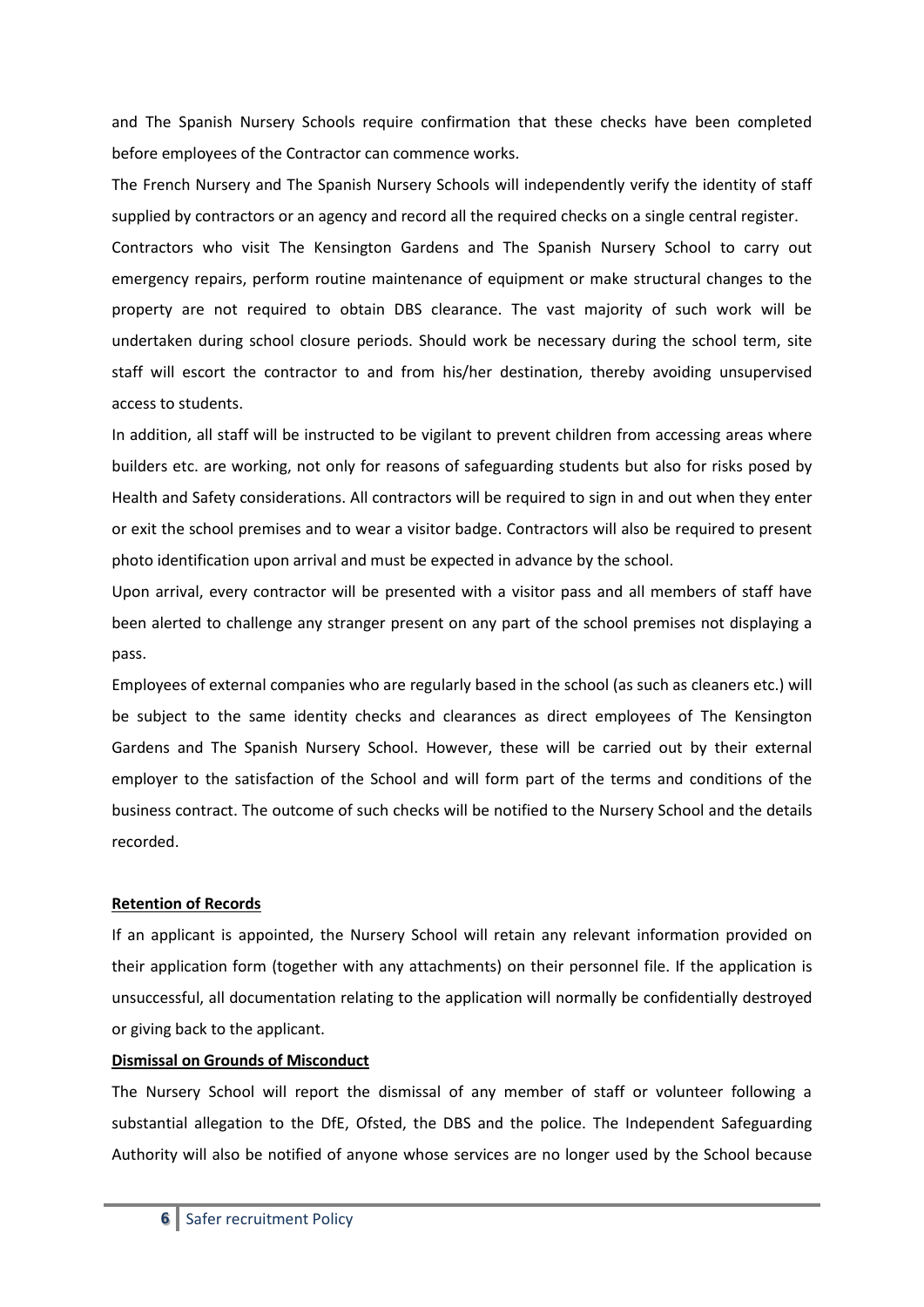and The Spanish Nursery Schools require confirmation that these checks have been completed before employees of the Contractor can commence works.

The French Nursery and The Spanish Nursery Schools will independently verify the identity of staff supplied by contractors or an agency and record all the required checks on a single central register.

Contractors who visit The Kensington Gardens and The Spanish Nursery School to carry out emergency repairs, perform routine maintenance of equipment or make structural changes to the property are not required to obtain DBS clearance. The vast majority of such work will be undertaken during school closure periods. Should work be necessary during the school term, site staff will escort the contractor to and from his/her destination, thereby avoiding unsupervised access to students.

In addition, all staff will be instructed to be vigilant to prevent children from accessing areas where builders etc. are working, not only for reasons of safeguarding students but also for risks posed by Health and Safety considerations. All contractors will be required to sign in and out when they enter or exit the school premises and to wear a visitor badge. Contractors will also be required to present photo identification upon arrival and must be expected in advance by the school.

Upon arrival, every contractor will be presented with a visitor pass and all members of staff have been alerted to challenge any stranger present on any part of the school premises not displaying a pass.

Employees of external companies who are regularly based in the school (as such as cleaners etc.) will be subject to the same identity checks and clearances as direct employees of The Kensington Gardens and The Spanish Nursery School. However, these will be carried out by their external employer to the satisfaction of the School and will form part of the terms and conditions of the business contract. The outcome of such checks will be notified to the Nursery School and the details recorded.

#### **Retention of Records**

If an applicant is appointed, the Nursery School will retain any relevant information provided on their application form (together with any attachments) on their personnel file. If the application is unsuccessful, all documentation relating to the application will normally be confidentially destroyed or giving back to the applicant.

#### **Dismissal on Grounds of Misconduct**

The Nursery School will report the dismissal of any member of staff or volunteer following a substantial allegation to the DfE, Ofsted, the DBS and the police. The Independent Safeguarding Authority will also be notified of anyone whose services are no longer used by the School because